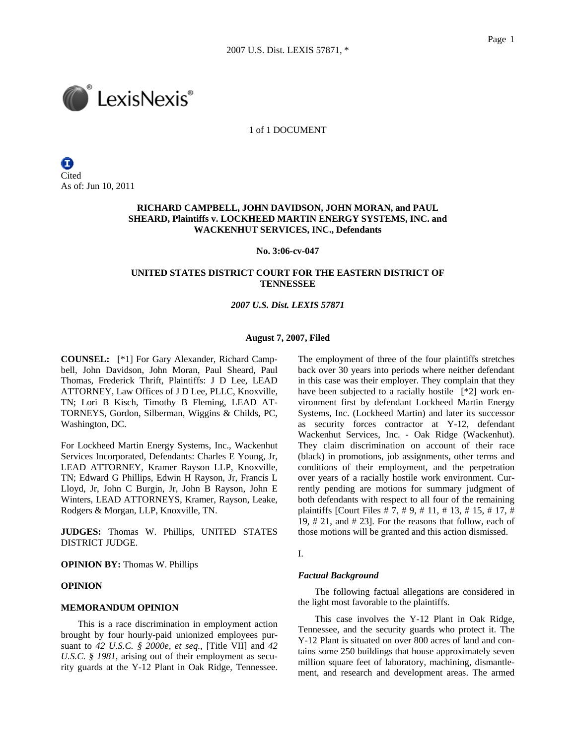

1 of 1 DOCUMENT

Ξ **Cited** As of: Jun 10, 2011

# **RICHARD CAMPBELL, JOHN DAVIDSON, JOHN MORAN, and PAUL SHEARD, Plaintiffs v. LOCKHEED MARTIN ENERGY SYSTEMS, INC. and WACKENHUT SERVICES, INC., Defendants**

#### **No. 3:06-cv-047**

# **UNITED STATES DISTRICT COURT FOR THE EASTERN DISTRICT OF TENNESSEE**

# *2007 U.S. Dist. LEXIS 57871*

#### **August 7, 2007, Filed**

**COUNSEL:** [\*1] For Gary Alexander, Richard Campbell, John Davidson, John Moran, Paul Sheard, Paul Thomas, Frederick Thrift, Plaintiffs: J D Lee, LEAD ATTORNEY, Law Offices of J D Lee, PLLC, Knoxville, TN; Lori B Kisch, Timothy B Fleming, LEAD AT-TORNEYS, Gordon, Silberman, Wiggins & Childs, PC, Washington, DC.

For Lockheed Martin Energy Systems, Inc., Wackenhut Services Incorporated, Defendants: Charles E Young, Jr, LEAD ATTORNEY, Kramer Rayson LLP, Knoxville, TN; Edward G Phillips, Edwin H Rayson, Jr, Francis L Lloyd, Jr, John C Burgin, Jr, John B Rayson, John E Winters, LEAD ATTORNEYS, Kramer, Rayson, Leake, Rodgers & Morgan, LLP, Knoxville, TN.

**JUDGES:** Thomas W. Phillips, UNITED STATES DISTRICT JUDGE.

**OPINION BY:** Thomas W. Phillips

### **OPINION**

### **MEMORANDUM OPINION**

This is a race discrimination in employment action brought by four hourly-paid unionized employees pursuant to *42 U.S.C. § 2000e, et seq.,* [Title VII] and *42 U.S.C. § 1981*, arising out of their employment as security guards at the Y-12 Plant in Oak Ridge, Tennessee. The employment of three of the four plaintiffs stretches back over 30 years into periods where neither defendant in this case was their employer. They complain that they have been subjected to a racially hostile [\*2] work environment first by defendant Lockheed Martin Energy Systems, Inc. (Lockheed Martin) and later its successor as security forces contractor at Y-12, defendant Wackenhut Services, Inc. - Oak Ridge (Wackenhut). They claim discrimination on account of their race (black) in promotions, job assignments, other terms and conditions of their employment, and the perpetration over years of a racially hostile work environment. Currently pending are motions for summary judgment of both defendants with respect to all four of the remaining plaintiffs [Court Files # 7, # 9, # 11, # 13, # 15, # 17, # 19, # 21, and # 23]. For the reasons that follow, each of those motions will be granted and this action dismissed.

# I.

### *Factual Background*

The following factual allegations are considered in the light most favorable to the plaintiffs.

This case involves the Y-12 Plant in Oak Ridge, Tennessee, and the security guards who protect it. The Y-12 Plant is situated on over 800 acres of land and contains some 250 buildings that house approximately seven million square feet of laboratory, machining, dismantlement, and research and development areas. The armed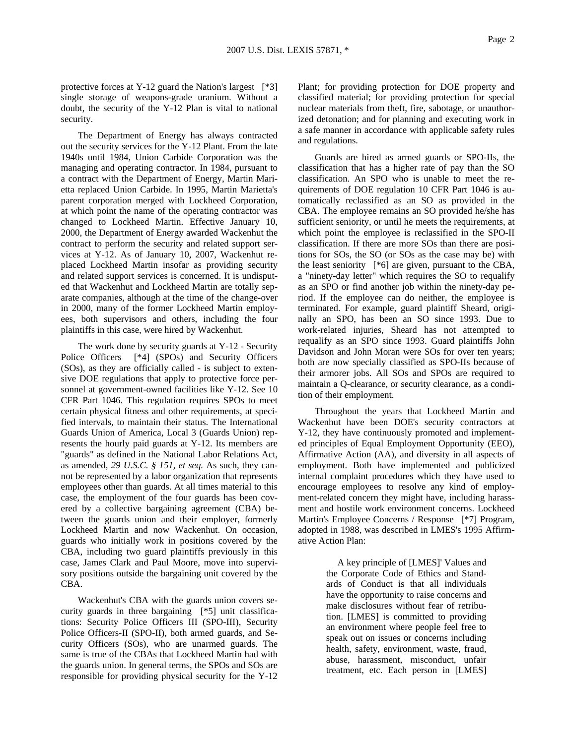protective forces at Y-12 guard the Nation's largest [\*3] single storage of weapons-grade uranium. Without a doubt, the security of the Y-12 Plan is vital to national security.

The Department of Energy has always contracted out the security services for the Y-12 Plant. From the late 1940s until 1984, Union Carbide Corporation was the managing and operating contractor. In 1984, pursuant to a contract with the Department of Energy, Martin Marietta replaced Union Carbide. In 1995, Martin Marietta's parent corporation merged with Lockheed Corporation, at which point the name of the operating contractor was changed to Lockheed Martin. Effective January 10, 2000, the Department of Energy awarded Wackenhut the contract to perform the security and related support services at Y-12. As of January 10, 2007, Wackenhut replaced Lockheed Martin insofar as providing security and related support services is concerned. It is undisputed that Wackenhut and Lockheed Martin are totally separate companies, although at the time of the change-over in 2000, many of the former Lockheed Martin employees, both supervisors and others, including the four plaintiffs in this case, were hired by Wackenhut.

The work done by security guards at Y-12 - Security Police Officers [\*4] (SPOs) and Security Officers (SOs), as they are officially called - is subject to extensive DOE regulations that apply to protective force personnel at government-owned facilities like Y-12. See 10 CFR Part 1046. This regulation requires SPOs to meet certain physical fitness and other requirements, at specified intervals, to maintain their status. The International Guards Union of America, Local 3 (Guards Union) represents the hourly paid guards at Y-12. Its members are "guards" as defined in the National Labor Relations Act, as amended, *29 U.S.C. § 151, et seq.* As such, they cannot be represented by a labor organization that represents employees other than guards. At all times material to this case, the employment of the four guards has been covered by a collective bargaining agreement (CBA) between the guards union and their employer, formerly Lockheed Martin and now Wackenhut. On occasion, guards who initially work in positions covered by the CBA, including two guard plaintiffs previously in this case, James Clark and Paul Moore, move into supervisory positions outside the bargaining unit covered by the CBA.

Wackenhut's CBA with the guards union covers security guards in three bargaining [\*5] unit classifications: Security Police Officers III (SPO-III), Security Police Officers-II (SPO-II), both armed guards, and Security Officers (SOs), who are unarmed guards. The same is true of the CBAs that Lockheed Martin had with the guards union. In general terms, the SPOs and SOs are responsible for providing physical security for the Y-12

Plant; for providing protection for DOE property and classified material; for providing protection for special nuclear materials from theft, fire, sabotage, or unauthorized detonation; and for planning and executing work in a safe manner in accordance with applicable safety rules and regulations.

Guards are hired as armed guards or SPO-IIs, the classification that has a higher rate of pay than the SO classification. An SPO who is unable to meet the requirements of DOE regulation 10 CFR Part 1046 is automatically reclassified as an SO as provided in the CBA. The employee remains an SO provided he/she has sufficient seniority, or until he meets the requirements, at which point the employee is reclassified in the SPO-II classification. If there are more SOs than there are positions for SOs, the SO (or SOs as the case may be) with the least seniority [\*6] are given, pursuant to the CBA, a "ninety-day letter" which requires the SO to requalify as an SPO or find another job within the ninety-day period. If the employee can do neither, the employee is terminated. For example, guard plaintiff Sheard, originally an SPO, has been an SO since 1993. Due to work-related injuries, Sheard has not attempted to requalify as an SPO since 1993. Guard plaintiffs John Davidson and John Moran were SOs for over ten years; both are now specially classified as SPO-IIs because of their armorer jobs. All SOs and SPOs are required to maintain a Q-clearance, or security clearance, as a condition of their employment.

Throughout the years that Lockheed Martin and Wackenhut have been DOE's security contractors at Y-12, they have continuously promoted and implemented principles of Equal Employment Opportunity (EEO), Affirmative Action (AA), and diversity in all aspects of employment. Both have implemented and publicized internal complaint procedures which they have used to encourage employees to resolve any kind of employment-related concern they might have, including harassment and hostile work environment concerns. Lockheed Martin's Employee Concerns / Response [\*7] Program, adopted in 1988, was described in LMES's 1995 Affirmative Action Plan:

> A key principle of [LMES]' Values and the Corporate Code of Ethics and Standards of Conduct is that all individuals have the opportunity to raise concerns and make disclosures without fear of retribution. [LMES] is committed to providing an environment where people feel free to speak out on issues or concerns including health, safety, environment, waste, fraud, abuse, harassment, misconduct, unfair treatment, etc. Each person in [LMES]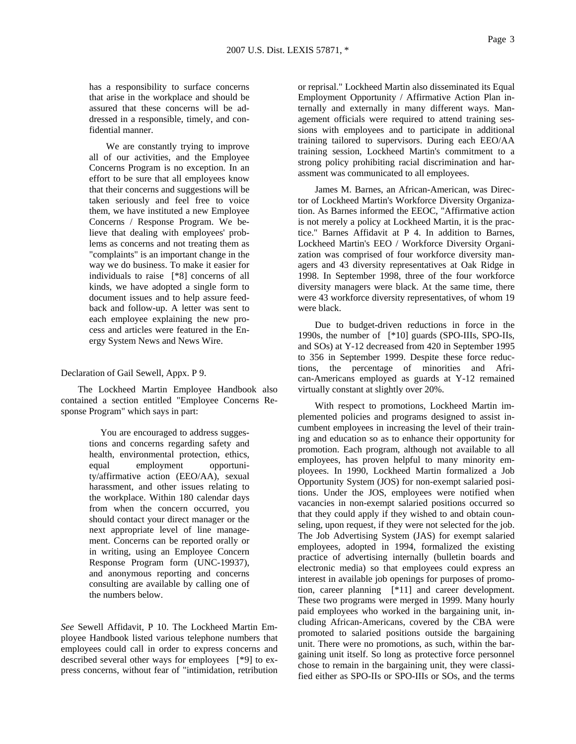has a responsibility to surface concerns that arise in the workplace and should be assured that these concerns will be addressed in a responsible, timely, and confidential manner.

We are constantly trying to improve all of our activities, and the Employee Concerns Program is no exception. In an effort to be sure that all employees know that their concerns and suggestions will be taken seriously and feel free to voice them, we have instituted a new Employee Concerns / Response Program. We believe that dealing with employees' problems as concerns and not treating them as "complaints" is an important change in the way we do business. To make it easier for individuals to raise [\*8] concerns of all kinds, we have adopted a single form to document issues and to help assure feedback and follow-up. A letter was sent to each employee explaining the new process and articles were featured in the Energy System News and News Wire.

Declaration of Gail Sewell, Appx. P 9.

The Lockheed Martin Employee Handbook also contained a section entitled "Employee Concerns Response Program" which says in part:

> You are encouraged to address suggestions and concerns regarding safety and health, environmental protection, ethics, equal employment opportunity/affirmative action (EEO/AA), sexual harassment, and other issues relating to the workplace. Within 180 calendar days from when the concern occurred, you should contact your direct manager or the next appropriate level of line management. Concerns can be reported orally or in writing, using an Employee Concern Response Program form (UNC-19937), and anonymous reporting and concerns consulting are available by calling one of the numbers below.

*See* Sewell Affidavit, P 10. The Lockheed Martin Employee Handbook listed various telephone numbers that employees could call in order to express concerns and described several other ways for employees [\*9] to express concerns, without fear of "intimidation, retribution

or reprisal." Lockheed Martin also disseminated its Equal Employment Opportunity / Affirmative Action Plan internally and externally in many different ways. Management officials were required to attend training sessions with employees and to participate in additional training tailored to supervisors. During each EEO/AA training session, Lockheed Martin's commitment to a strong policy prohibiting racial discrimination and harassment was communicated to all employees.

James M. Barnes, an African-American, was Director of Lockheed Martin's Workforce Diversity Organization. As Barnes informed the EEOC, "Affirmative action is not merely a policy at Lockheed Martin, it is the practice." Barnes Affidavit at P 4. In addition to Barnes, Lockheed Martin's EEO / Workforce Diversity Organization was comprised of four workforce diversity managers and 43 diversity representatives at Oak Ridge in 1998. In September 1998, three of the four workforce diversity managers were black. At the same time, there were 43 workforce diversity representatives, of whom 19 were black.

Due to budget-driven reductions in force in the 1990s, the number of [\*10] guards (SPO-IIIs, SPO-IIs, and SOs) at Y-12 decreased from 420 in September 1995 to 356 in September 1999. Despite these force reductions, the percentage of minorities and African-Americans employed as guards at Y-12 remained virtually constant at slightly over 20%.

With respect to promotions, Lockheed Martin implemented policies and programs designed to assist incumbent employees in increasing the level of their training and education so as to enhance their opportunity for promotion. Each program, although not available to all employees, has proven helpful to many minority employees. In 1990, Lockheed Martin formalized a Job Opportunity System (JOS) for non-exempt salaried positions. Under the JOS, employees were notified when vacancies in non-exempt salaried positions occurred so that they could apply if they wished to and obtain counseling, upon request, if they were not selected for the job. The Job Advertising System (JAS) for exempt salaried employees, adopted in 1994, formalized the existing practice of advertising internally (bulletin boards and electronic media) so that employees could express an interest in available job openings for purposes of promotion, career planning [\*11] and career development. These two programs were merged in 1999. Many hourly paid employees who worked in the bargaining unit, including African-Americans, covered by the CBA were promoted to salaried positions outside the bargaining unit. There were no promotions, as such, within the bargaining unit itself. So long as protective force personnel chose to remain in the bargaining unit, they were classified either as SPO-IIs or SPO-IIIs or SOs, and the terms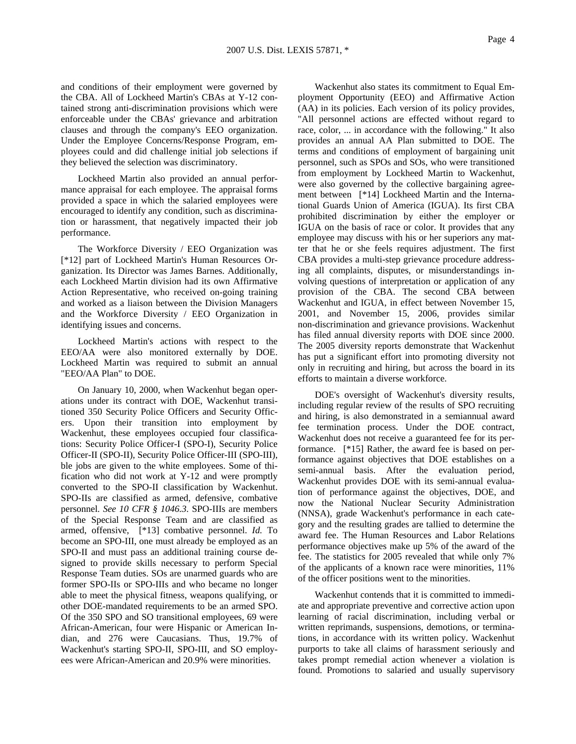and conditions of their employment were governed by the CBA. All of Lockheed Martin's CBAs at Y-12 contained strong anti-discrimination provisions which were enforceable under the CBAs' grievance and arbitration clauses and through the company's EEO organization. Under the Employee Concerns/Response Program, employees could and did challenge initial job selections if they believed the selection was discriminatory.

Lockheed Martin also provided an annual performance appraisal for each employee. The appraisal forms provided a space in which the salaried employees were encouraged to identify any condition, such as discrimination or harassment, that negatively impacted their job performance.

The Workforce Diversity / EEO Organization was [\*12] part of Lockheed Martin's Human Resources Organization. Its Director was James Barnes. Additionally, each Lockheed Martin division had its own Affirmative Action Representative, who received on-going training and worked as a liaison between the Division Managers and the Workforce Diversity / EEO Organization in identifying issues and concerns.

Lockheed Martin's actions with respect to the EEO/AA were also monitored externally by DOE. Lockheed Martin was required to submit an annual "EEO/AA Plan" to DOE.

On January 10, 2000, when Wackenhut began operations under its contract with DOE, Wackenhut transitioned 350 Security Police Officers and Security Officers. Upon their transition into employment by Wackenhut, these employees occupied four classifications: Security Police Officer-I (SPO-I), Security Police Officer-II (SPO-II), Security Police Officer-III (SPO-III), ble jobs are given to the white employees. Some of thification who did not work at Y-12 and were promptly converted to the SPO-II classification by Wackenhut. SPO-IIs are classified as armed, defensive, combative personnel. *See 10 CFR § 1046.3*. SPO-IIIs are members of the Special Response Team and are classified as armed, offensive, [\*13] combative personnel. *Id.* To become an SPO-III, one must already be employed as an SPO-II and must pass an additional training course designed to provide skills necessary to perform Special Response Team duties. SOs are unarmed guards who are former SPO-IIs or SPO-IIIs and who became no longer able to meet the physical fitness, weapons qualifying, or other DOE-mandated requirements to be an armed SPO. Of the 350 SPO and SO transitional employees, 69 were African-American, four were Hispanic or American Indian, and 276 were Caucasians. Thus, 19.7% of Wackenhut's starting SPO-II, SPO-III, and SO employees were African-American and 20.9% were minorities.

Wackenhut also states its commitment to Equal Employment Opportunity (EEO) and Affirmative Action (AA) in its policies. Each version of its policy provides, "All personnel actions are effected without regard to race, color, ... in accordance with the following." It also provides an annual AA Plan submitted to DOE. The terms and conditions of employment of bargaining unit personnel, such as SPOs and SOs, who were transitioned from employment by Lockheed Martin to Wackenhut, were also governed by the collective bargaining agreement between [\*14] Lockheed Martin and the International Guards Union of America (IGUA). Its first CBA prohibited discrimination by either the employer or IGUA on the basis of race or color. It provides that any employee may discuss with his or her superiors any matter that he or she feels requires adjustment. The first CBA provides a multi-step grievance procedure addressing all complaints, disputes, or misunderstandings involving questions of interpretation or application of any provision of the CBA. The second CBA between Wackenhut and IGUA, in effect between November 15, 2001, and November 15, 2006, provides similar non-discrimination and grievance provisions. Wackenhut has filed annual diversity reports with DOE since 2000. The 2005 diversity reports demonstrate that Wackenhut has put a significant effort into promoting diversity not only in recruiting and hiring, but across the board in its efforts to maintain a diverse workforce.

DOE's oversight of Wackenhut's diversity results, including regular review of the results of SPO recruiting and hiring, is also demonstrated in a semiannual award fee termination process. Under the DOE contract, Wackenhut does not receive a guaranteed fee for its performance. [\*15] Rather, the award fee is based on performance against objectives that DOE establishes on a semi-annual basis. After the evaluation period, Wackenhut provides DOE with its semi-annual evaluation of performance against the objectives, DOE, and now the National Nuclear Security Administration (NNSA), grade Wackenhut's performance in each category and the resulting grades are tallied to determine the award fee. The Human Resources and Labor Relations performance objectives make up 5% of the award of the fee. The statistics for 2005 revealed that while only 7% of the applicants of a known race were minorities, 11% of the officer positions went to the minorities.

Wackenhut contends that it is committed to immediate and appropriate preventive and corrective action upon learning of racial discrimination, including verbal or written reprimands, suspensions, demotions, or terminations, in accordance with its written policy. Wackenhut purports to take all claims of harassment seriously and takes prompt remedial action whenever a violation is found. Promotions to salaried and usually supervisory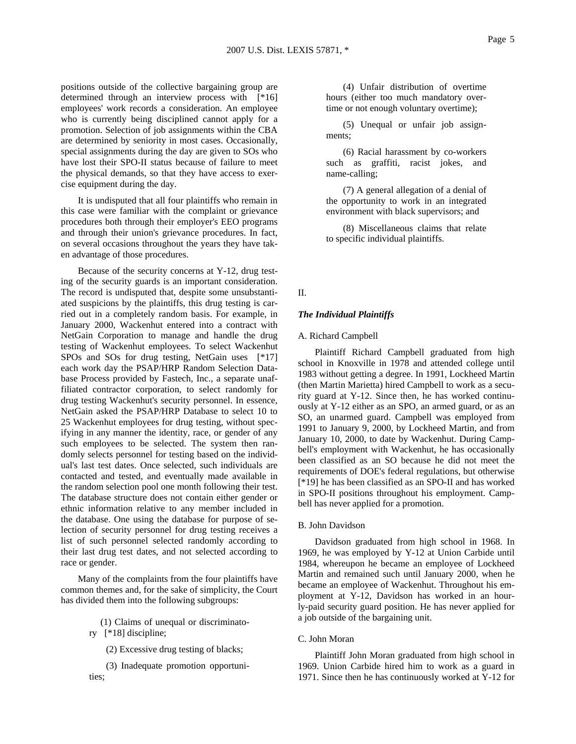positions outside of the collective bargaining group are determined through an interview process with [\*16] employees' work records a consideration. An employee who is currently being disciplined cannot apply for a promotion. Selection of job assignments within the CBA are determined by seniority in most cases. Occasionally, special assignments during the day are given to SOs who have lost their SPO-II status because of failure to meet the physical demands, so that they have access to exercise equipment during the day.

It is undisputed that all four plaintiffs who remain in this case were familiar with the complaint or grievance procedures both through their employer's EEO programs and through their union's grievance procedures. In fact, on several occasions throughout the years they have taken advantage of those procedures.

Because of the security concerns at Y-12, drug testing of the security guards is an important consideration. The record is undisputed that, despite some unsubstantiated suspicions by the plaintiffs, this drug testing is carried out in a completely random basis. For example, in January 2000, Wackenhut entered into a contract with NetGain Corporation to manage and handle the drug testing of Wackenhut employees. To select Wackenhut SPOs and SOs for drug testing, NetGain uses [\*17] each work day the PSAP/HRP Random Selection Database Process provided by Fastech, Inc., a separate unaffiliated contractor corporation, to select randomly for drug testing Wackenhut's security personnel. In essence, NetGain asked the PSAP/HRP Database to select 10 to 25 Wackenhut employees for drug testing, without specifying in any manner the identity, race, or gender of any such employees to be selected. The system then randomly selects personnel for testing based on the individual's last test dates. Once selected, such individuals are contacted and tested, and eventually made available in the random selection pool one month following their test. The database structure does not contain either gender or ethnic information relative to any member included in the database. One using the database for purpose of selection of security personnel for drug testing receives a list of such personnel selected randomly according to their last drug test dates, and not selected according to race or gender.

Many of the complaints from the four plaintiffs have common themes and, for the sake of simplicity, the Court has divided them into the following subgroups:

(1) Claims of unequal or discriminato-

ry [\*18] discipline;

(2) Excessive drug testing of blacks;

(3) Inadequate promotion opportunities;

(4) Unfair distribution of overtime hours (either too much mandatory overtime or not enough voluntary overtime);

(5) Unequal or unfair job assignments;

(6) Racial harassment by co-workers such as graffiti, racist jokes, and name-calling;

(7) A general allegation of a denial of the opportunity to work in an integrated environment with black supervisors; and

(8) Miscellaneous claims that relate to specific individual plaintiffs.

### II.

### *The Individual Plaintiffs*

### A. Richard Campbell

Plaintiff Richard Campbell graduated from high school in Knoxville in 1978 and attended college until 1983 without getting a degree. In 1991, Lockheed Martin (then Martin Marietta) hired Campbell to work as a security guard at Y-12. Since then, he has worked continuously at Y-12 either as an SPO, an armed guard, or as an SO, an unarmed guard. Campbell was employed from 1991 to January 9, 2000, by Lockheed Martin, and from January 10, 2000, to date by Wackenhut. During Campbell's employment with Wackenhut, he has occasionally been classified as an SO because he did not meet the requirements of DOE's federal regulations, but otherwise [\*19] he has been classified as an SPO-II and has worked in SPO-II positions throughout his employment. Campbell has never applied for a promotion.

### B. John Davidson

Davidson graduated from high school in 1968. In 1969, he was employed by Y-12 at Union Carbide until 1984, whereupon he became an employee of Lockheed Martin and remained such until January 2000, when he became an employee of Wackenhut. Throughout his employment at Y-12, Davidson has worked in an hourly-paid security guard position. He has never applied for a job outside of the bargaining unit.

#### C. John Moran

Plaintiff John Moran graduated from high school in 1969. Union Carbide hired him to work as a guard in 1971. Since then he has continuously worked at Y-12 for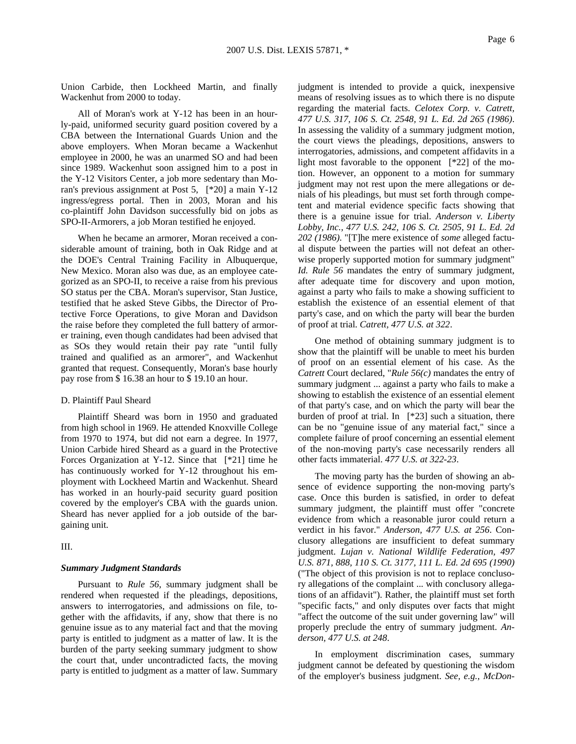Union Carbide, then Lockheed Martin, and finally Wackenhut from 2000 to today.

All of Moran's work at Y-12 has been in an hourly-paid, uniformed security guard position covered by a CBA between the International Guards Union and the above employers. When Moran became a Wackenhut employee in 2000, he was an unarmed SO and had been since 1989. Wackenhut soon assigned him to a post in the Y-12 Visitors Center, a job more sedentary than Moran's previous assignment at Post 5, [\*20] a main Y-12 ingress/egress portal. Then in 2003, Moran and his co-plaintiff John Davidson successfully bid on jobs as SPO-II-Armorers, a job Moran testified he enjoyed.

When he became an armorer, Moran received a considerable amount of training, both in Oak Ridge and at the DOE's Central Training Facility in Albuquerque, New Mexico. Moran also was due, as an employee categorized as an SPO-II, to receive a raise from his previous SO status per the CBA. Moran's supervisor, Stan Justice, testified that he asked Steve Gibbs, the Director of Protective Force Operations, to give Moran and Davidson the raise before they completed the full battery of armorer training, even though candidates had been advised that as SOs they would retain their pay rate "until fully trained and qualified as an armorer", and Wackenhut granted that request. Consequently, Moran's base hourly pay rose from \$ 16.38 an hour to \$ 19.10 an hour.

#### D. Plaintiff Paul Sheard

Plaintiff Sheard was born in 1950 and graduated from high school in 1969. He attended Knoxville College from 1970 to 1974, but did not earn a degree. In 1977, Union Carbide hired Sheard as a guard in the Protective Forces Organization at Y-12. Since that [\*21] time he has continuously worked for Y-12 throughout his employment with Lockheed Martin and Wackenhut. Sheard has worked in an hourly-paid security guard position covered by the employer's CBA with the guards union. Sheard has never applied for a job outside of the bargaining unit.

III.

#### *Summary Judgment Standards*

Pursuant to *Rule 56*, summary judgment shall be rendered when requested if the pleadings, depositions, answers to interrogatories, and admissions on file, together with the affidavits, if any, show that there is no genuine issue as to any material fact and that the moving party is entitled to judgment as a matter of law. It is the burden of the party seeking summary judgment to show the court that, under uncontradicted facts, the moving party is entitled to judgment as a matter of law. Summary judgment is intended to provide a quick, inexpensive means of resolving issues as to which there is no dispute regarding the material facts. *Celotex Corp. v. Catrett, 477 U.S. 317, 106 S. Ct. 2548, 91 L. Ed. 2d 265 (1986)*. In assessing the validity of a summary judgment motion, the court views the pleadings, depositions, answers to interrogatories, admissions, and competent affidavits in a light most favorable to the opponent [\*22] of the motion. However, an opponent to a motion for summary judgment may not rest upon the mere allegations or denials of his pleadings, but must set forth through competent and material evidence specific facts showing that there is a genuine issue for trial. *Anderson v. Liberty Lobby, Inc., 477 U.S. 242, 106 S. Ct. 2505, 91 L. Ed. 2d 202 (1986)*. "[T]he mere existence of *some* alleged factual dispute between the parties will not defeat an otherwise properly supported motion for summary judgment" *Id. Rule 56* mandates the entry of summary judgment, after adequate time for discovery and upon motion, against a party who fails to make a showing sufficient to establish the existence of an essential element of that party's case, and on which the party will bear the burden of proof at trial. *Catrett, 477 U.S. at 322*.

One method of obtaining summary judgment is to show that the plaintiff will be unable to meet his burden of proof on an essential element of his case. As the *Catrett* Court declared, "*Rule 56(c)* mandates the entry of summary judgment ... against a party who fails to make a showing to establish the existence of an essential element of that party's case, and on which the party will bear the burden of proof at trial. In [\*23] such a situation, there can be no "genuine issue of any material fact," since a complete failure of proof concerning an essential element of the non-moving party's case necessarily renders all other facts immaterial. *477 U.S. at 322-23*.

The moving party has the burden of showing an absence of evidence supporting the non-moving party's case. Once this burden is satisfied, in order to defeat summary judgment, the plaintiff must offer "concrete evidence from which a reasonable juror could return a verdict in his favor." *Anderson, 477 U.S. at 256*. Conclusory allegations are insufficient to defeat summary judgment. *Lujan v. National Wildlife Federation, 497 U.S. 871, 888, 110 S. Ct. 3177, 111 L. Ed. 2d 695 (1990)* ("The object of this provision is not to replace conclusory allegations of the complaint ... with conclusory allegations of an affidavit"). Rather, the plaintiff must set forth "specific facts," and only disputes over facts that might "affect the outcome of the suit under governing law" will properly preclude the entry of summary judgment. *Anderson, 477 U.S. at 248*.

In employment discrimination cases, summary judgment cannot be defeated by questioning the wisdom of the employer's business judgment. *See, e.g., McDon-*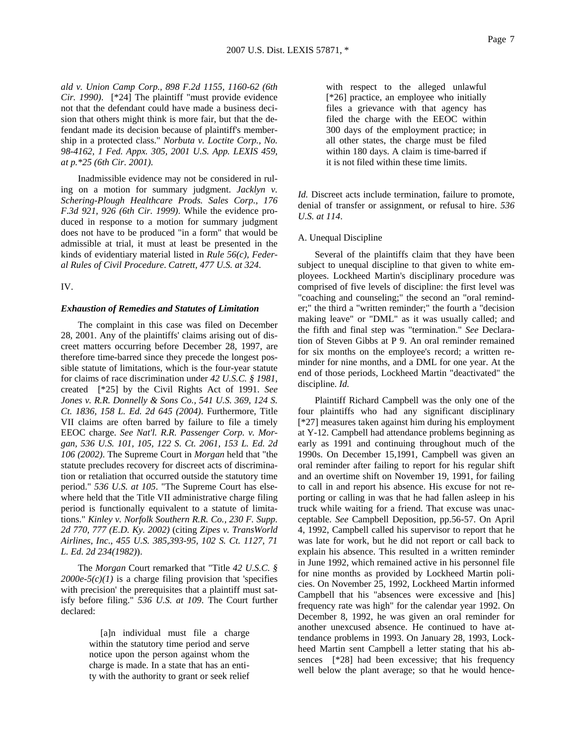*ald v. Union Camp Corp., 898 F.2d 1155, 1160-62 (6th Cir. 1990)*. [\*24] The plaintiff "must provide evidence not that the defendant could have made a business decision that others might think is more fair, but that the defendant made its decision because of plaintiff's membership in a protected class." *Norbuta v. Loctite Corp., No. 98-4162, 1 Fed. Appx. 305, 2001 U.S. App. LEXIS 459, at p.\*25 (6th Cir. 2001)*.

Inadmissible evidence may not be considered in ruling on a motion for summary judgment. *Jacklyn v. Schering-Plough Healthcare Prods. Sales Corp., 176 F.3d 921, 926 (6th Cir. 1999)*. While the evidence produced in response to a motion for summary judgment does not have to be produced "in a form" that would be admissible at trial, it must at least be presented in the kinds of evidentiary material listed in *Rule 56(c), Federal Rules of Civil Procedure*. *Catrett, 477 U.S. at 324*.

IV.

### *Exhaustion of Remedies and Statutes of Limitation*

The complaint in this case was filed on December 28, 2001. Any of the plaintiffs' claims arising out of discreet matters occurring before December 28, 1997, are therefore time-barred since they precede the longest possible statute of limitations, which is the four-year statute for claims of race discrimination under *42 U.S.C. § 1981*, created [\*25] by the Civil Rights Act of 1991. *See Jones v. R.R. Donnelly & Sons Co., 541 U.S. 369, 124 S. Ct. 1836, 158 L. Ed. 2d 645 (2004)*. Furthermore, Title VII claims are often barred by failure to file a timely EEOC charge. *See Nat'l. R.R. Passenger Corp. v. Morgan, 536 U.S. 101, 105, 122 S. Ct. 2061, 153 L. Ed. 2d 106 (2002)*. The Supreme Court in *Morgan* held that "the statute precludes recovery for discreet acts of discrimination or retaliation that occurred outside the statutory time period." *536 U.S. at 105*. "The Supreme Court has elsewhere held that the Title VII administrative charge filing period is functionally equivalent to a statute of limitations." *Kinley v. Norfolk Southern R.R. Co., 230 F. Supp. 2d 770, 777 (E.D. Ky. 2002)* (citing *Zipes v. TransWorld Airlines, Inc., 455 U.S. 385,393-95, 102 S. Ct. 1127, 71 L. Ed. 2d 234(1982)*).

The *Morgan* Court remarked that "Title *42 U.S.C. §*   $2000e-5(c)(1)$  is a charge filing provision that 'specifies with precision' the prerequisites that a plaintiff must satisfy before filing." *536 U.S. at 109*. The Court further declared:

> [a]n individual must file a charge within the statutory time period and serve notice upon the person against whom the charge is made. In a state that has an entity with the authority to grant or seek relief

with respect to the alleged unlawful [\*26] practice, an employee who initially files a grievance with that agency has filed the charge with the EEOC within 300 days of the employment practice; in all other states, the charge must be filed within 180 days. A claim is time-barred if it is not filed within these time limits.

*Id.* Discreet acts include termination, failure to promote, denial of transfer or assignment, or refusal to hire. *536 U.S. at 114*.

### A. Unequal Discipline

Several of the plaintiffs claim that they have been subject to unequal discipline to that given to white employees. Lockheed Martin's disciplinary procedure was comprised of five levels of discipline: the first level was "coaching and counseling;" the second an "oral reminder;" the third a "written reminder;" the fourth a "decision making leave" or "DML" as it was usually called; and the fifth and final step was "termination." *See* Declaration of Steven Gibbs at P 9. An oral reminder remained for six months on the employee's record; a written reminder for nine months, and a DML for one year. At the end of those periods, Lockheed Martin "deactivated" the discipline. *Id.*

Plaintiff Richard Campbell was the only one of the four plaintiffs who had any significant disciplinary [\*27] measures taken against him during his employment at Y-12. Campbell had attendance problems beginning as early as 1991 and continuing throughout much of the 1990s. On December 15,1991, Campbell was given an oral reminder after failing to report for his regular shift and an overtime shift on November 19, 1991, for failing to call in and report his absence. His excuse for not reporting or calling in was that he had fallen asleep in his truck while waiting for a friend. That excuse was unacceptable. *See* Campbell Deposition, pp.56-57. On April 4, 1992, Campbell called his supervisor to report that he was late for work, but he did not report or call back to explain his absence. This resulted in a written reminder in June 1992, which remained active in his personnel file for nine months as provided by Lockheed Martin policies. On November 25, 1992, Lockheed Martin informed Campbell that his "absences were excessive and [his] frequency rate was high" for the calendar year 1992. On December 8, 1992, he was given an oral reminder for another unexcused absence. He continued to have attendance problems in 1993. On January 28, 1993, Lockheed Martin sent Campbell a letter stating that his absences [\*28] had been excessive; that his frequency well below the plant average; so that he would hence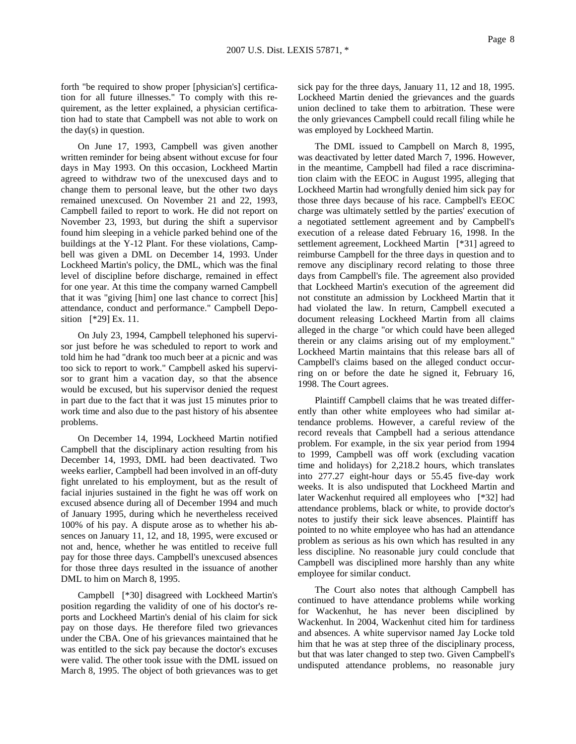forth "be required to show proper [physician's] certification for all future illnesses." To comply with this requirement, as the letter explained, a physician certification had to state that Campbell was not able to work on the day(s) in question.

On June 17, 1993, Campbell was given another written reminder for being absent without excuse for four days in May 1993. On this occasion, Lockheed Martin agreed to withdraw two of the unexcused days and to change them to personal leave, but the other two days remained unexcused. On November 21 and 22, 1993, Campbell failed to report to work. He did not report on November 23, 1993, but during the shift a supervisor found him sleeping in a vehicle parked behind one of the buildings at the Y-12 Plant. For these violations, Campbell was given a DML on December 14, 1993. Under Lockheed Martin's policy, the DML, which was the final level of discipline before discharge, remained in effect for one year. At this time the company warned Campbell that it was "giving [him] one last chance to correct [his] attendance, conduct and performance." Campbell Deposition [\*29] Ex. 11.

On July 23, 1994, Campbell telephoned his supervisor just before he was scheduled to report to work and told him he had "drank too much beer at a picnic and was too sick to report to work." Campbell asked his supervisor to grant him a vacation day, so that the absence would be excused, but his supervisor denied the request in part due to the fact that it was just 15 minutes prior to work time and also due to the past history of his absentee problems.

On December 14, 1994, Lockheed Martin notified Campbell that the disciplinary action resulting from his December 14, 1993, DML had been deactivated. Two weeks earlier, Campbell had been involved in an off-duty fight unrelated to his employment, but as the result of facial injuries sustained in the fight he was off work on excused absence during all of December 1994 and much of January 1995, during which he nevertheless received 100% of his pay. A dispute arose as to whether his absences on January 11, 12, and 18, 1995, were excused or not and, hence, whether he was entitled to receive full pay for those three days. Campbell's unexcused absences for those three days resulted in the issuance of another DML to him on March 8, 1995.

Campbell [\*30] disagreed with Lockheed Martin's position regarding the validity of one of his doctor's reports and Lockheed Martin's denial of his claim for sick pay on those days. He therefore filed two grievances under the CBA. One of his grievances maintained that he was entitled to the sick pay because the doctor's excuses were valid. The other took issue with the DML issued on March 8, 1995. The object of both grievances was to get sick pay for the three days, January 11, 12 and 18, 1995. Lockheed Martin denied the grievances and the guards union declined to take them to arbitration. These were the only grievances Campbell could recall filing while he was employed by Lockheed Martin.

The DML issued to Campbell on March 8, 1995, was deactivated by letter dated March 7, 1996. However, in the meantime, Campbell had filed a race discrimination claim with the EEOC in August 1995, alleging that Lockheed Martin had wrongfully denied him sick pay for those three days because of his race. Campbell's EEOC charge was ultimately settled by the parties' execution of a negotiated settlement agreement and by Campbell's execution of a release dated February 16, 1998. In the settlement agreement, Lockheed Martin [\*31] agreed to reimburse Campbell for the three days in question and to remove any disciplinary record relating to those three days from Campbell's file. The agreement also provided that Lockheed Martin's execution of the agreement did not constitute an admission by Lockheed Martin that it had violated the law. In return, Campbell executed a document releasing Lockheed Martin from all claims alleged in the charge "or which could have been alleged therein or any claims arising out of my employment." Lockheed Martin maintains that this release bars all of Campbell's claims based on the alleged conduct occurring on or before the date he signed it, February 16, 1998. The Court agrees.

Plaintiff Campbell claims that he was treated differently than other white employees who had similar attendance problems. However, a careful review of the record reveals that Campbell had a serious attendance problem. For example, in the six year period from 1994 to 1999, Campbell was off work (excluding vacation time and holidays) for 2,218.2 hours, which translates into 277.27 eight-hour days or 55.45 five-day work weeks. It is also undisputed that Lockheed Martin and later Wackenhut required all employees who [\*32] had attendance problems, black or white, to provide doctor's notes to justify their sick leave absences. Plaintiff has pointed to no white employee who has had an attendance problem as serious as his own which has resulted in any less discipline. No reasonable jury could conclude that Campbell was disciplined more harshly than any white employee for similar conduct.

The Court also notes that although Campbell has continued to have attendance problems while working for Wackenhut, he has never been disciplined by Wackenhut. In 2004, Wackenhut cited him for tardiness and absences. A white supervisor named Jay Locke told him that he was at step three of the disciplinary process, but that was later changed to step two. Given Campbell's undisputed attendance problems, no reasonable jury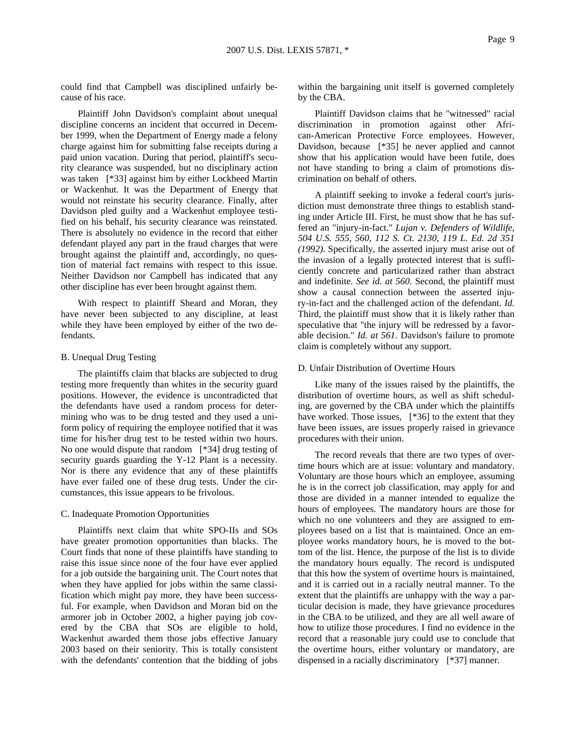could find that Campbell was disciplined unfairly because of his race.

Plaintiff John Davidson's complaint about unequal discipline concerns an incident that occurred in December 1999, when the Department of Energy made a felony charge against him for submitting false receipts during a paid union vacation. During that period, plaintiff's security clearance was suspended, but no disciplinary action was taken [\*33] against him by either Lockheed Martin or Wackenhut. It was the Department of Energy that would not reinstate his security clearance. Finally, after Davidson pled guilty and a Wackenhut employee testified on his behalf, his security clearance was reinstated. There is absolutely no evidence in the record that either defendant played any part in the fraud charges that were brought against the plaintiff and, accordingly, no question of material fact remains with respect to this issue. Neither Davidson nor Campbell has indicated that any other discipline has ever been brought against them.

With respect to plaintiff Sheard and Moran, they have never been subjected to any discipline, at least while they have been employed by either of the two defendants.

### B. Unequal Drug Testing

The plaintiffs claim that blacks are subjected to drug testing more frequently than whites in the security guard positions. However, the evidence is uncontradicted that the defendants have used a random process for determining who was to be drug tested and they used a uniform policy of requiring the employee notified that it was time for his/her drug test to be tested within two hours. No one would dispute that random [\*34] drug testing of security guards guarding the Y-12 Plant is a necessity. Nor is there any evidence that any of these plaintiffs have ever failed one of these drug tests. Under the circumstances, this issue appears to be frivolous.

### C. Inadequate Promotion Opportunities

Plaintiffs next claim that white SPO-IIs and SOs have greater promotion opportunities than blacks. The Court finds that none of these plaintiffs have standing to raise this issue since none of the four have ever applied for a job outside the bargaining unit. The Court notes that when they have applied for jobs within the same classification which might pay more, they have been successful. For example, when Davidson and Moran bid on the armorer job in October 2002, a higher paying job covered by the CBA that SOs are eligible to hold, Wackenhut awarded them those jobs effective January 2003 based on their seniority. This is totally consistent with the defendants' contention that the bidding of jobs

within the bargaining unit itself is governed completely by the CBA.

Plaintiff Davidson claims that he "witnessed" racial discrimination in promotion against other African-American Protective Force employees. However, Davidson, because [\*35] he never applied and cannot show that his application would have been futile, does not have standing to bring a claim of promotions discrimination on behalf of others.

A plaintiff seeking to invoke a federal court's jurisdiction must demonstrate three things to establish standing under Article III. First, he must show that he has suffered an "injury-in-fact." *Lujan v. Defenders of Wildlife, 504 U.S. 555, 560, 112 S. Ct. 2130, 119 L. Ed. 2d 351 (1992)*. Specifically, the asserted injury must arise out of the invasion of a legally protected interest that is sufficiently concrete and particularized rather than abstract and indefinite. *See id. at 560*. Second, the plaintiff must show a causal connection between the asserted injury-in-fact and the challenged action of the defendant. *Id.* Third, the plaintiff must show that it is likely rather than speculative that "the injury will be redressed by a favorable decision." *Id. at 561*. Davidson's failure to promote claim is completely without any support.

#### D. Unfair Distribution of Overtime Hours

Like many of the issues raised by the plaintiffs, the distribution of overtime hours, as well as shift scheduling, are governed by the CBA under which the plaintiffs have worked. Those issues, [\*36] to the extent that they have been issues, are issues properly raised in grievance procedures with their union.

The record reveals that there are two types of overtime hours which are at issue: voluntary and mandatory. Voluntary are those hours which an employee, assuming he is in the correct job classification, may apply for and those are divided in a manner intended to equalize the hours of employees. The mandatory hours are those for which no one volunteers and they are assigned to employees based on a list that is maintained. Once an employee works mandatory hours, he is moved to the bottom of the list. Hence, the purpose of the list is to divide the mandatory hours equally. The record is undisputed that this how the system of overtime hours is maintained, and it is carried out in a racially neutral manner. To the extent that the plaintiffs are unhappy with the way a particular decision is made, they have grievance procedures in the CBA to be utilized, and they are all well aware of how to utilize those procedures. I find no evidence in the record that a reasonable jury could use to conclude that the overtime hours, either voluntary or mandatory, are dispensed in a racially discriminatory [\*37] manner.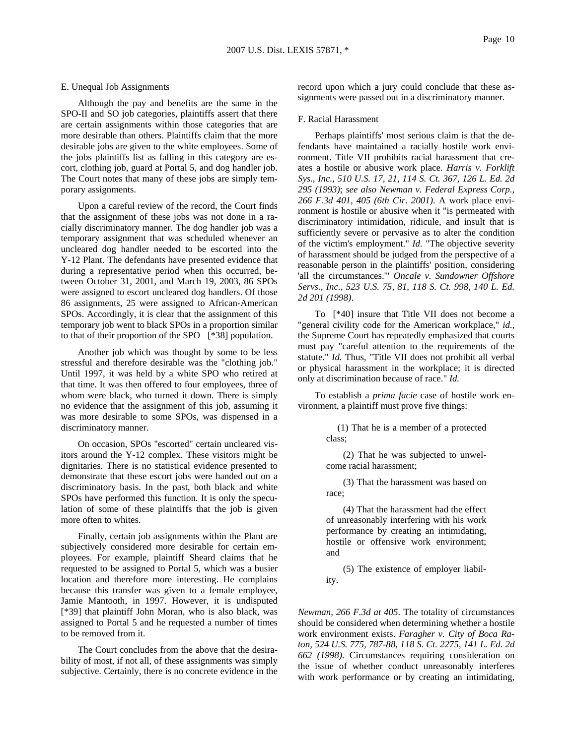### E. Unequal Job Assignments

Although the pay and benefits are the same in the SPO-II and SO job categories, plaintiffs assert that there are certain assignments within those categories that are more desirable than others. Plaintiffs claim that the more desirable jobs are given to the white employees. Some of the jobs plaintiffs list as falling in this category are escort, clothing job, guard at Portal 5, and dog handler job. The Court notes that many of these jobs are simply temporary assignments.

Upon a careful review of the record, the Court finds that the assignment of these jobs was not done in a racially discriminatory manner. The dog handler job was a temporary assignment that was scheduled whenever an uncleared dog handler needed to be escorted into the Y-12 Plant. The defendants have presented evidence that during a representative period when this occurred, between October 31, 2001, and March 19, 2003, 86 SPOs were assigned to escort uncleared dog handlers. Of those 86 assignments, 25 were assigned to African-American SPOs. Accordingly, it is clear that the assignment of this temporary job went to black SPOs in a proportion similar to that of their proportion of the SPO [\*38] population.

Another job which was thought by some to be less stressful and therefore desirable was the "clothing job." Until 1997, it was held by a white SPO who retired at that time. It was then offered to four employees, three of whom were black, who turned it down. There is simply no evidence that the assignment of this job, assuming it was more desirable to some SPOs, was dispensed in a discriminatory manner.

On occasion, SPOs "escorted" certain uncleared visitors around the Y-12 complex. These visitors might be dignitaries. There is no statistical evidence presented to demonstrate that these escort jobs were handed out on a discriminatory basis. In the past, both black and white SPOs have performed this function. It is only the speculation of some of these plaintiffs that the job is given more often to whites.

Finally, certain job assignments within the Plant are subjectively considered more desirable for certain employees. For example, plaintiff Sheard claims that he requested to be assigned to Portal 5, which was a busier location and therefore more interesting. He complains because this transfer was given to a female employee, Jamie Mantooth, in 1997. However, it is undisputed [\*39] that plaintiff John Moran, who is also black, was assigned to Portal 5 and he requested a number of times to be removed from it.

The Court concludes from the above that the desirability of most, if not all, of these assignments was simply subjective. Certainly, there is no concrete evidence in the record upon which a jury could conclude that these assignments were passed out in a discriminatory manner.

#### F. Racial Harassment

Perhaps plaintiffs' most serious claim is that the defendants have maintained a racially hostile work environment. Title VII prohibits racial harassment that creates a hostile or abusive work place. *Harris v. Forklift Sys., Inc., 510 U.S. 17, 21, 114 S. Ct. 367, 126 L. Ed. 2d 295 (1993)*; *see also Newman v. Federal Express Corp., 266 F.3d 401, 405 (6th Cir. 2001)*. A work place environment is hostile or abusive when it "is permeated with discriminatory intimidation, ridicule, and insult that is sufficiently severe or pervasive as to alter the condition of the victim's employment." *Id.* "The objective severity of harassment should be judged from the perspective of a reasonable person in the plaintiffs' position, considering 'all the circumstances.'" *Oncale v. Sundowner Offshore Servs., Inc., 523 U.S. 75, 81, 118 S. Ct. 998, 140 L. Ed. 2d 201 (1998)*.

To [\*40] insure that Title VII does not become a "general civility code for the American workplace," *id.,* the Supreme Court has repeatedly emphasized that courts must pay "careful attention to the requirements of the statute." *Id.* Thus, "Title VII does not prohibit all verbal or physical harassment in the workplace; it is directed only at discrimination because of race." *Id.*

To establish a *prima facie* case of hostile work environment, a plaintiff must prove five things:

> (1) That he is a member of a protected class;

> (2) That he was subjected to unwelcome racial harassment;

> (3) That the harassment was based on race;

> (4) That the harassment had the effect of unreasonably interfering with his work performance by creating an intimidating, hostile or offensive work environment; and

> (5) The existence of employer liability.

*Newman, 266 F.3d at 405*. The totality of circumstances should be considered when determining whether a hostile work environment exists. *Faragher v. City of Boca Raton, 524 U.S. 775, 787-88, 118 S. Ct. 2275, 141 L. Ed. 2d 662 (1998)*. Circumstances requiring consideration on the issue of whether conduct unreasonably interferes with work performance or by creating an intimidating,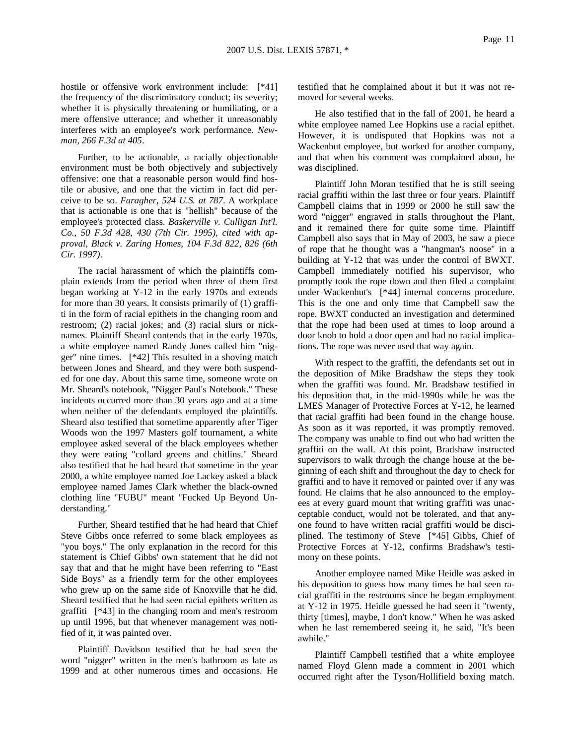hostile or offensive work environment include: [\*41] the frequency of the discriminatory conduct; its severity; whether it is physically threatening or humiliating, or a mere offensive utterance; and whether it unreasonably interferes with an employee's work performance. *Newman, 266 F.3d at 405*.

Further, to be actionable, a racially objectionable environment must be both objectively and subjectively offensive: one that a reasonable person would find hostile or abusive, and one that the victim in fact did perceive to be so. *Faragher, 524 U.S. at 787*. A workplace that is actionable is one that is "hellish" because of the employee's protected class. *Baskerville v. Culligan Int'l. Co., 50 F.3d 428, 430 (7th Cir. 1995)*, *cited with approval, Black v. Zaring Homes, 104 F.3d 822, 826 (6th Cir. 1997)*.

The racial harassment of which the plaintiffs complain extends from the period when three of them first began working at Y-12 in the early 1970s and extends for more than 30 years. It consists primarily of (1) graffiti in the form of racial epithets in the changing room and restroom; (2) racial jokes; and (3) racial slurs or nicknames. Plaintiff Sheard contends that in the early 1970s, a white employee named Randy Jones called him "nigger" nine times. [\*42] This resulted in a shoving match between Jones and Sheard, and they were both suspended for one day. About this same time, someone wrote on Mr. Sheard's notebook, "Nigger Paul's Notebook." These incidents occurred more than 30 years ago and at a time when neither of the defendants employed the plaintiffs. Sheard also testified that sometime apparently after Tiger Woods won the 1997 Masters golf tournament, a white employee asked several of the black employees whether they were eating "collard greens and chitlins." Sheard also testified that he had heard that sometime in the year 2000, a white employee named Joe Lackey asked a black employee named James Clark whether the black-owned clothing line "FUBU" meant "Fucked Up Beyond Understanding."

Further, Sheard testified that he had heard that Chief Steve Gibbs once referred to some black employees as "you boys." The only explanation in the record for this statement is Chief Gibbs' own statement that he did not say that and that he might have been referring to "East Side Boys" as a friendly term for the other employees who grew up on the same side of Knoxville that he did. Sheard testified that he had seen racial epithets written as graffiti [\*43] in the changing room and men's restroom up until 1996, but that whenever management was notified of it, it was painted over.

Plaintiff Davidson testified that he had seen the word "nigger" written in the men's bathroom as late as 1999 and at other numerous times and occasions. He testified that he complained about it but it was not removed for several weeks.

He also testified that in the fall of 2001, he heard a white employee named Lee Hopkins use a racial epithet. However, it is undisputed that Hopkins was not a Wackenhut employee, but worked for another company, and that when his comment was complained about, he was disciplined.

Plaintiff John Moran testified that he is still seeing racial graffiti within the last three or four years. Plaintiff Campbell claims that in 1999 or 2000 he still saw the word "nigger" engraved in stalls throughout the Plant, and it remained there for quite some time. Plaintiff Campbell also says that in May of 2003, he saw a piece of rope that he thought was a "hangman's noose" in a building at Y-12 that was under the control of BWXT. Campbell immediately notified his supervisor, who promptly took the rope down and then filed a complaint under Wackenhut's [\*44] internal concerns procedure. This is the one and only time that Campbell saw the rope. BWXT conducted an investigation and determined that the rope had been used at times to loop around a door knob to hold a door open and had no racial implications. The rope was never used that way again.

With respect to the graffiti, the defendants set out in the deposition of Mike Bradshaw the steps they took when the graffiti was found. Mr. Bradshaw testified in his deposition that, in the mid-1990s while he was the LMES Manager of Protective Forces at Y-12, he learned that racial graffiti had been found in the change house. As soon as it was reported, it was promptly removed. The company was unable to find out who had written the graffiti on the wall. At this point, Bradshaw instructed supervisors to walk through the change house at the beginning of each shift and throughout the day to check for graffiti and to have it removed or painted over if any was found. He claims that he also announced to the employees at every guard mount that writing graffiti was unacceptable conduct, would not be tolerated, and that anyone found to have written racial graffiti would be disciplined. The testimony of Steve [\*45] Gibbs, Chief of Protective Forces at Y-12, confirms Bradshaw's testimony on these points.

Another employee named Mike Heidle was asked in his deposition to guess how many times he had seen racial graffiti in the restrooms since he began employment at Y-12 in 1975. Heidle guessed he had seen it "twenty, thirty [times], maybe, I don't know." When he was asked when he last remembered seeing it, he said, "It's been awhile."

Plaintiff Campbell testified that a white employee named Floyd Glenn made a comment in 2001 which occurred right after the Tyson/Hollifield boxing match.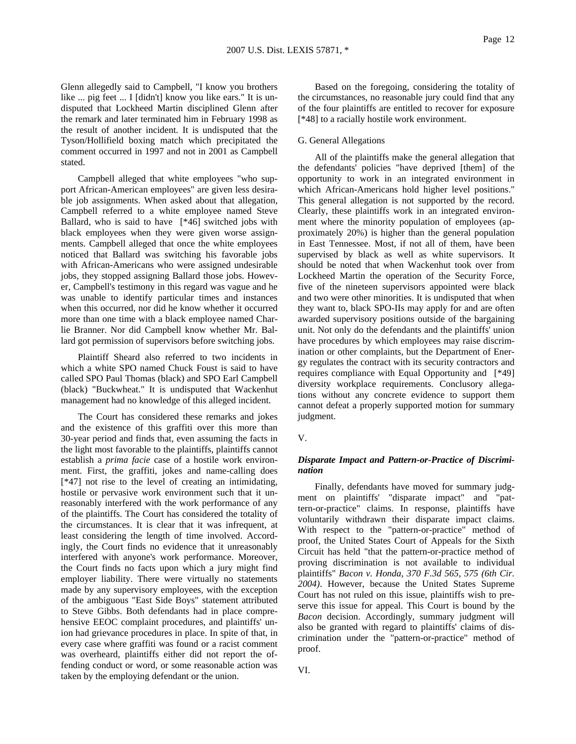Glenn allegedly said to Campbell, "I know you brothers like ... pig feet ... I [didn't] know you like ears." It is undisputed that Lockheed Martin disciplined Glenn after the remark and later terminated him in February 1998 as the result of another incident. It is undisputed that the Tyson/Hollifield boxing match which precipitated the comment occurred in 1997 and not in 2001 as Campbell stated.

Campbell alleged that white employees "who support African-American employees" are given less desirable job assignments. When asked about that allegation, Campbell referred to a white employee named Steve Ballard, who is said to have [\*46] switched jobs with black employees when they were given worse assignments. Campbell alleged that once the white employees noticed that Ballard was switching his favorable jobs with African-Americans who were assigned undesirable jobs, they stopped assigning Ballard those jobs. However, Campbell's testimony in this regard was vague and he was unable to identify particular times and instances when this occurred, nor did he know whether it occurred more than one time with a black employee named Charlie Branner. Nor did Campbell know whether Mr. Ballard got permission of supervisors before switching jobs.

Plaintiff Sheard also referred to two incidents in which a white SPO named Chuck Foust is said to have called SPO Paul Thomas (black) and SPO Earl Campbell (black) "Buckwheat." It is undisputed that Wackenhut management had no knowledge of this alleged incident.

The Court has considered these remarks and jokes and the existence of this graffiti over this more than 30-year period and finds that, even assuming the facts in the light most favorable to the plaintiffs, plaintiffs cannot establish a *prima facie* case of a hostile work environment. First, the graffiti, jokes and name-calling does [\*47] not rise to the level of creating an intimidating, hostile or pervasive work environment such that it unreasonably interfered with the work performance of any of the plaintiffs. The Court has considered the totality of the circumstances. It is clear that it was infrequent, at least considering the length of time involved. Accordingly, the Court finds no evidence that it unreasonably interfered with anyone's work performance. Moreover, the Court finds no facts upon which a jury might find employer liability. There were virtually no statements made by any supervisory employees, with the exception of the ambiguous "East Side Boys" statement attributed to Steve Gibbs. Both defendants had in place comprehensive EEOC complaint procedures, and plaintiffs' union had grievance procedures in place. In spite of that, in every case where graffiti was found or a racist comment was overheard, plaintiffs either did not report the offending conduct or word, or some reasonable action was taken by the employing defendant or the union.

Based on the foregoing, considering the totality of the circumstances, no reasonable jury could find that any of the four plaintiffs are entitled to recover for exposure [\*48] to a racially hostile work environment.

#### G. General Allegations

All of the plaintiffs make the general allegation that the defendants' policies "have deprived [them] of the opportunity to work in an integrated environment in which African-Americans hold higher level positions." This general allegation is not supported by the record. Clearly, these plaintiffs work in an integrated environment where the minority population of employees (approximately 20%) is higher than the general population in East Tennessee. Most, if not all of them, have been supervised by black as well as white supervisors. It should be noted that when Wackenhut took over from Lockheed Martin the operation of the Security Force, five of the nineteen supervisors appointed were black and two were other minorities. It is undisputed that when they want to, black SPO-IIs may apply for and are often awarded supervisory positions outside of the bargaining unit. Not only do the defendants and the plaintiffs' union have procedures by which employees may raise discrimination or other complaints, but the Department of Energy regulates the contract with its security contractors and requires compliance with Equal Opportunity and [\*49] diversity workplace requirements. Conclusory allegations without any concrete evidence to support them cannot defeat a properly supported motion for summary judgment.

### V.

### *Disparate Impact and Pattern-or-Practice of Discrimination*

Finally, defendants have moved for summary judgment on plaintiffs' "disparate impact" and "pattern-or-practice" claims. In response, plaintiffs have voluntarily withdrawn their disparate impact claims. With respect to the "pattern-or-practice" method of proof, the United States Court of Appeals for the Sixth Circuit has held "that the pattern-or-practice method of proving discrimination is not available to individual plaintiffs" *Bacon v. Honda, 370 F.3d 565, 575 (6th Cir. 2004)*. However, because the United States Supreme Court has not ruled on this issue, plaintiffs wish to preserve this issue for appeal. This Court is bound by the *Bacon* decision. Accordingly, summary judgment will also be granted with regard to plaintiffs' claims of discrimination under the "pattern-or-practice" method of proof.